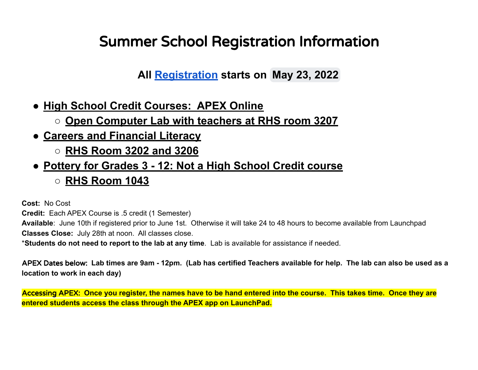# Summer School Registration Information

**All [Registration](https://docs.google.com/forms/d/1oGMc65SRhD7eOuPmSlrkb81jqrTABkukNecHxfL1kVY/edit) starts on May 23, 2022**

- **● High School Credit Courses: APEX Online**
	- **○ Open Computer Lab with teachers at RHS room 3207**
- **● Careers and Financial Literacy**
	- **○ RHS Room 3202 and 3206**
- **● Pottery for Grades 3 12: Not a High School Credit course**
	- **○ RHS Room 1043**

**Cost:** No Cost

**Credit:** Each APEX Course is .5 credit (1 Semester)

**Available**: June 10th if registered prior to June 1st. Otherwise it will take 24 to 48 hours to become available from Launchpad **Classes Close:** July 28th at noon. All classes close.

\***Students do not need to report to the lab at any time**. Lab is available for assistance if needed.

APEX Dates below: **Lab times are 9am - 12pm. (Lab has certified Teachers available for help. The lab can also be used as a location to work in each day)**

Accessing APEX: **Once you register, the names have to be hand entered into the course. This takes time. Once they are entered students access the class through the APEX app on LaunchPad.**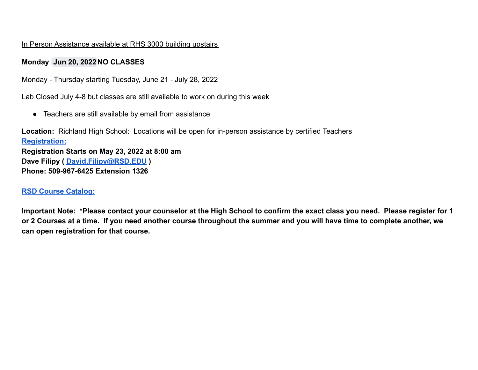#### In Person Assistance available at RHS 3000 building upstairs

#### **Monday Jun 20, 2022 NO CLASSES**

Monday - Thursday starting Tuesday, June 21 - July 28, 2022

Lab Closed July 4-8 but classes are still available to work on during this week

● Teachers are still available by email from assistance

**Location:** Richland High School: Locations will be open for in-person assistance by certified Teachers **[Registration:](https://docs.google.com/forms/d/1oGMc65SRhD7eOuPmSlrkb81jqrTABkukNecHxfL1kVY/edit) Registration Starts on May 23, 2022 at 8:00 am Dave Filipy ( [David.Filipy@RSD.EDU](mailto:David.Filipy@RSD.EDU) ) Phone: 509-967-6425 Extension 1326**

#### **[RSD Course Catalog:](https://www.rsd.edu/students/course-catalogs-four-year-planning-tool)**

**Important Note: \*Please contact your counselor at the High School to confirm the exact class you need. Please register for 1 or 2 Courses at a time. If you need another course throughout the summer and you will have time to complete another, we can open registration for that course.**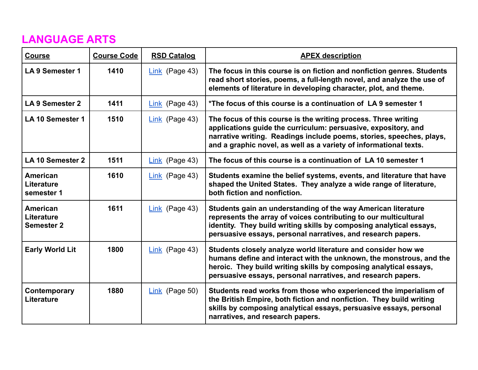# **LANGUAGE ARTS**

| <b>Course</b>                               | <b>Course Code</b> | <b>RSD Catalog</b> | <b>APEX description</b>                                                                                                                                                                                                                                                       |
|---------------------------------------------|--------------------|--------------------|-------------------------------------------------------------------------------------------------------------------------------------------------------------------------------------------------------------------------------------------------------------------------------|
| LA 9 Semester 1                             | 1410               | $Link$ (Page 43)   | The focus in this course is on fiction and nonfiction genres. Students<br>read short stories, poems, a full-length novel, and analyze the use of<br>elements of literature in developing character, plot, and theme.                                                          |
| LA 9 Semester 2                             | 1411               | $Link$ (Page 43)   | *The focus of this course is a continuation of LA 9 semester 1                                                                                                                                                                                                                |
| LA 10 Semester 1                            | 1510               | $Link$ (Page 43)   | The focus of this course is the writing process. Three writing<br>applications guide the curriculum: persuasive, expository, and<br>narrative writing. Readings include poems, stories, speeches, plays,<br>and a graphic novel, as well as a variety of informational texts. |
| LA 10 Semester 2                            | 1511               | $Link$ (Page 43)   | The focus of this course is a continuation of LA 10 semester 1                                                                                                                                                                                                                |
| American<br>Literature<br>semester 1        | 1610               | $Link$ (Page 43)   | Students examine the belief systems, events, and literature that have<br>shaped the United States. They analyze a wide range of literature,<br>both fiction and nonfiction.                                                                                                   |
| American<br>Literature<br><b>Semester 2</b> | 1611               | $Link$ (Page 43)   | Students gain an understanding of the way American literature<br>represents the array of voices contributing to our multicultural<br>identity. They build writing skills by composing analytical essays,<br>persuasive essays, personal narratives, and research papers.      |
| <b>Early World Lit</b>                      | 1800               | $Link$ (Page 43)   | Students closely analyze world literature and consider how we<br>humans define and interact with the unknown, the monstrous, and the<br>heroic. They build writing skills by composing analytical essays,<br>persuasive essays, personal narratives, and research papers.     |
| Contemporary<br>Literature                  | 1880               | $Link$ (Page 50)   | Students read works from those who experienced the imperialism of<br>the British Empire, both fiction and nonfiction. They build writing<br>skills by composing analytical essays, persuasive essays, personal<br>narratives, and research papers.                            |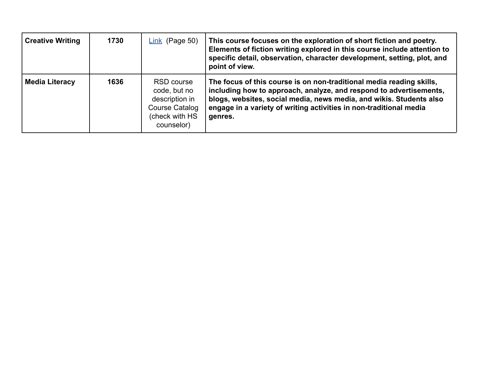| <b>Creative Writing</b> | 1730 | Link (Page 50)                                                                                        | This course focuses on the exploration of short fiction and poetry.<br>Elements of fiction writing explored in this course include attention to<br>specific detail, observation, character development, setting, plot, and<br>point of view.                                                       |
|-------------------------|------|-------------------------------------------------------------------------------------------------------|----------------------------------------------------------------------------------------------------------------------------------------------------------------------------------------------------------------------------------------------------------------------------------------------------|
| <b>Media Literacy</b>   | 1636 | <b>RSD course</b><br>code, but no<br>description in<br>Course Catalog<br>(check with HS<br>counselor) | The focus of this course is on non-traditional media reading skills,<br>including how to approach, analyze, and respond to advertisements,<br>blogs, websites, social media, news media, and wikis. Students also<br>engage in a variety of writing activities in non-traditional media<br>genres. |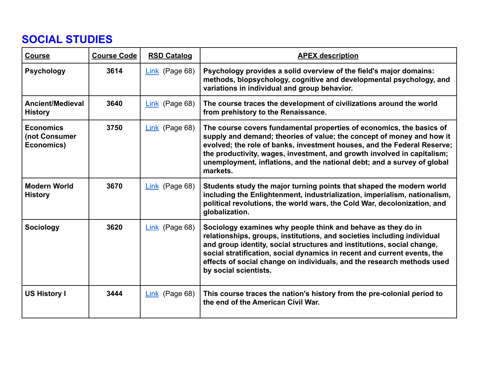## **SOCIAL STUDIES**

| <b>Course</b>                                   | <b>Course Code</b> | <b>RSD Catalog</b> | <b>APEX description</b>                                                                                                                                                                                                                                                                                                                                                                          |
|-------------------------------------------------|--------------------|--------------------|--------------------------------------------------------------------------------------------------------------------------------------------------------------------------------------------------------------------------------------------------------------------------------------------------------------------------------------------------------------------------------------------------|
| <b>Psychology</b>                               | 3614               | $Link$ (Page 68)   | Psychology provides a solid overview of the field's major domains:<br>methods, biopsychology, cognitive and developmental psychology, and<br>variations in individual and group behavior.                                                                                                                                                                                                        |
| <b>Ancient/Medieval</b><br><b>History</b>       | 3640               | $Link$ (Page 68)   | The course traces the development of civilizations around the world<br>from prehistory to the Renaissance.                                                                                                                                                                                                                                                                                       |
| <b>Economics</b><br>(not Consumer<br>Economics) | 3750               | $Link$ (Page 68)   | The course covers fundamental properties of economics, the basics of<br>supply and demand; theories of value; the concept of money and how it<br>evolved; the role of banks, investment houses, and the Federal Reserve;<br>the productivity, wages, investment, and growth involved in capitalism;<br>unemployment, inflations, and the national debt; and a survey of global<br>markets.       |
| <b>Modern World</b><br><b>History</b>           | 3670               | $Link$ (Page 68)   | Students study the major turning points that shaped the modern world<br>including the Enlightenment, industrialization, imperialism, nationalism,<br>political revolutions, the world wars, the Cold War, decolonization, and<br>globalization.                                                                                                                                                  |
| <b>Sociology</b>                                | 3620               | $Link$ (Page 68)   | Sociology examines why people think and behave as they do in<br>relationships, groups, institutions, and societies including individual<br>and group identity, social structures and institutions, social change,<br>social stratification, social dynamics in recent and current events, the<br>effects of social change on individuals, and the research methods used<br>by social scientists. |
| <b>US History I</b>                             | 3444               | $Link$ (Page 68)   | This course traces the nation's history from the pre-colonial period to<br>the end of the American Civil War.                                                                                                                                                                                                                                                                                    |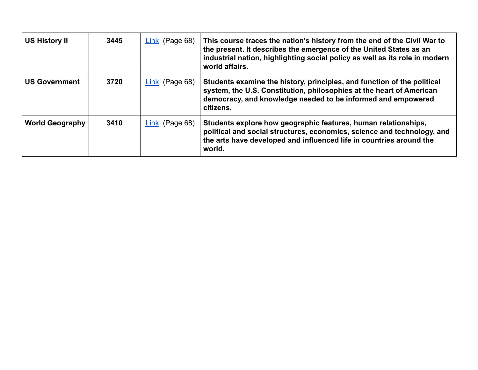| <b>US History II</b>   | 3445 | (Page 68)<br><b>Link</b> | This course traces the nation's history from the end of the Civil War to<br>the present. It describes the emergence of the United States as an<br>industrial nation, highlighting social policy as well as its role in modern<br>world affairs. |
|------------------------|------|--------------------------|-------------------------------------------------------------------------------------------------------------------------------------------------------------------------------------------------------------------------------------------------|
| <b>US Government</b>   | 3720 | $Link$ (Page 68)         | Students examine the history, principles, and function of the political<br>system, the U.S. Constitution, philosophies at the heart of American<br>democracy, and knowledge needed to be informed and empowered<br>citizens.                    |
| <b>World Geography</b> | 3410 | $Link$ (Page 68)         | Students explore how geographic features, human relationships,<br>political and social structures, economics, science and technology, and<br>the arts have developed and influenced life in countries around the<br>world.                      |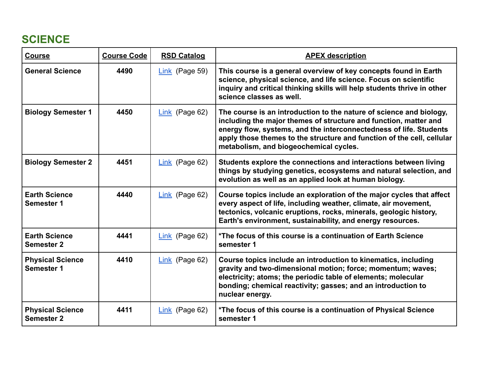# **SCIENCE**

| <b>Course</b>                                | <b>Course Code</b> | <b>RSD Catalog</b> | <b>APEX description</b>                                                                                                                                                                                                                                                                                                           |
|----------------------------------------------|--------------------|--------------------|-----------------------------------------------------------------------------------------------------------------------------------------------------------------------------------------------------------------------------------------------------------------------------------------------------------------------------------|
| <b>General Science</b>                       | 4490               | Link (Page 59)     | This course is a general overview of key concepts found in Earth<br>science, physical science, and life science. Focus on scientific<br>inquiry and critical thinking skills will help students thrive in other<br>science classes as well.                                                                                       |
| <b>Biology Semester 1</b>                    | 4450               | $Link$ (Page 62)   | The course is an introduction to the nature of science and biology,<br>including the major themes of structure and function, matter and<br>energy flow, systems, and the interconnectedness of life. Students<br>apply those themes to the structure and function of the cell, cellular<br>metabolism, and biogeochemical cycles. |
| <b>Biology Semester 2</b>                    | 4451               | $Link$ (Page 62)   | Students explore the connections and interactions between living<br>things by studying genetics, ecosystems and natural selection, and<br>evolution as well as an applied look at human biology.                                                                                                                                  |
| <b>Earth Science</b><br><b>Semester 1</b>    | 4440               | $Link$ (Page 62)   | Course topics include an exploration of the major cycles that affect<br>every aspect of life, including weather, climate, air movement,<br>tectonics, volcanic eruptions, rocks, minerals, geologic history,<br>Earth's environment, sustainability, and energy resources.                                                        |
| <b>Earth Science</b><br><b>Semester 2</b>    | 4441               | Link (Page $62$ )  | *The focus of this course is a continuation of Earth Science<br>semester 1                                                                                                                                                                                                                                                        |
| <b>Physical Science</b><br>Semester 1        | 4410               | $Link$ (Page 62)   | Course topics include an introduction to kinematics, including<br>gravity and two-dimensional motion; force; momentum; waves;<br>electricity; atoms; the periodic table of elements; molecular<br>bonding; chemical reactivity; gasses; and an introduction to<br>nuclear energy.                                                 |
| <b>Physical Science</b><br><b>Semester 2</b> | 4411               | $Link$ (Page 62)   | *The focus of this course is a continuation of Physical Science<br>semester 1                                                                                                                                                                                                                                                     |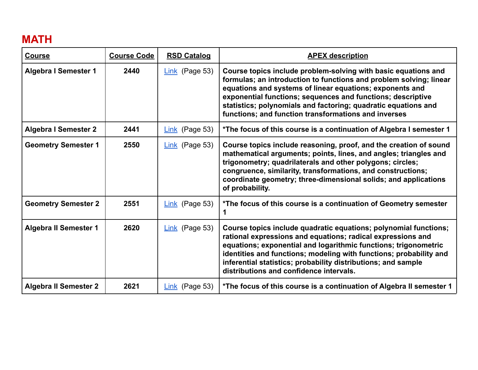#### **MATH**

| <b>Course</b>                | <b>Course Code</b> | <b>RSD Catalog</b> | <b>APEX description</b>                                                                                                                                                                                                                                                                                                                                                                   |
|------------------------------|--------------------|--------------------|-------------------------------------------------------------------------------------------------------------------------------------------------------------------------------------------------------------------------------------------------------------------------------------------------------------------------------------------------------------------------------------------|
| <b>Algebra I Semester 1</b>  | 2440               | $Link$ (Page 53)   | Course topics include problem-solving with basic equations and<br>formulas; an introduction to functions and problem solving; linear<br>equations and systems of linear equations; exponents and<br>exponential functions; sequences and functions; descriptive<br>statistics; polynomials and factoring; quadratic equations and<br>functions; and function transformations and inverses |
| <b>Algebra I Semester 2</b>  | 2441               | $Link$ (Page 53)   | *The focus of this course is a continuation of Algebra I semester 1                                                                                                                                                                                                                                                                                                                       |
| <b>Geometry Semester 1</b>   | 2550               | $Link$ (Page 53)   | Course topics include reasoning, proof, and the creation of sound<br>mathematical arguments; points, lines, and angles; triangles and<br>trigonometry; quadrilaterals and other polygons; circles;<br>congruence, similarity, transformations, and constructions;<br>coordinate geometry; three-dimensional solids; and applications<br>of probability.                                   |
| <b>Geometry Semester 2</b>   | 2551               | $Link$ (Page 53)   | *The focus of this course is a continuation of Geometry semester                                                                                                                                                                                                                                                                                                                          |
| <b>Algebra II Semester 1</b> | 2620               | $Link$ (Page 53)   | Course topics include quadratic equations; polynomial functions;<br>rational expressions and equations; radical expressions and<br>equations; exponential and logarithmic functions; trigonometric<br>identities and functions; modeling with functions; probability and<br>inferential statistics; probability distributions; and sample<br>distributions and confidence intervals.      |
| <b>Algebra II Semester 2</b> | 2621               | $Link$ (Page 53)   | *The focus of this course is a continuation of Algebra II semester 1                                                                                                                                                                                                                                                                                                                      |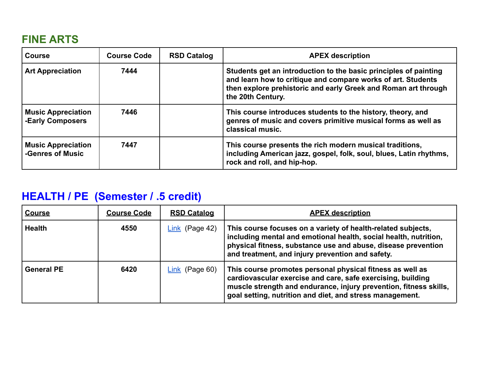### **FINE ARTS**

| <b>Course</b>                                 | <b>Course Code</b> | <b>RSD Catalog</b> | <b>APEX description</b>                                                                                                                                                                                                 |
|-----------------------------------------------|--------------------|--------------------|-------------------------------------------------------------------------------------------------------------------------------------------------------------------------------------------------------------------------|
| <b>Art Appreciation</b>                       | 7444               |                    | Students get an introduction to the basic principles of painting<br>and learn how to critique and compare works of art. Students<br>then explore prehistoric and early Greek and Roman art through<br>the 20th Century. |
| <b>Music Appreciation</b><br>-Early Composers | 7446               |                    | This course introduces students to the history, theory, and<br>genres of music and covers primitive musical forms as well as<br>classical music.                                                                        |
| <b>Music Appreciation</b><br>-Genres of Music | 7447               |                    | This course presents the rich modern musical traditions,<br>including American jazz, gospel, folk, soul, blues, Latin rhythms,<br>rock and roll, and hip-hop.                                                           |

# **HEALTH / PE (Semester / .5 credit)**

| <b>Course</b>     | <b>Course Code</b> | <b>RSD Catalog</b> | <b>APEX description</b>                                                                                                                                                                                                                                   |
|-------------------|--------------------|--------------------|-----------------------------------------------------------------------------------------------------------------------------------------------------------------------------------------------------------------------------------------------------------|
| <b>Health</b>     | 4550               | $Link$ (Page 42)   | This course focuses on a variety of health-related subjects,<br>including mental and emotional health, social health, nutrition,<br>physical fitness, substance use and abuse, disease prevention<br>and treatment, and injury prevention and safety.     |
| <b>General PE</b> | 6420               | $Link$ (Page 60)   | This course promotes personal physical fitness as well as<br>cardiovascular exercise and care, safe exercising, building<br>muscle strength and endurance, injury prevention, fitness skills,<br>goal setting, nutrition and diet, and stress management. |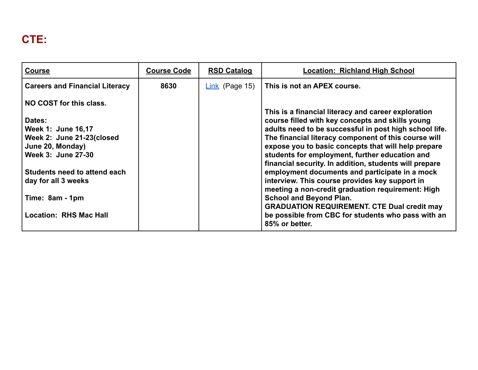# **CTE:**

| <b>Course</b>                         | <b>Course Code</b> | <b>RSD Catalog</b> | <b>Location: Richland High School</b>                                                                    |
|---------------------------------------|--------------------|--------------------|----------------------------------------------------------------------------------------------------------|
| <b>Careers and Financial Literacy</b> | 8630               | $Link$ (Page 15)   | This is not an APEX course.                                                                              |
| NO COST for this class.               |                    |                    | This is a financial literacy and career exploration                                                      |
| Dates:                                |                    |                    | course filled with key concepts and skills young                                                         |
| Week 1: June 16,17                    |                    |                    | adults need to be successful in post high school life.                                                   |
| Week 2: June 21-23(closed             |                    |                    | The financial literacy component of this course will                                                     |
| June 20, Monday)                      |                    |                    | expose you to basic concepts that will help prepare                                                      |
| Week 3: June 27-30                    |                    |                    | students for employment, further education and<br>financial security. In addition, students will prepare |
| Students need to attend each          |                    |                    | employment documents and participate in a mock                                                           |
| day for all 3 weeks                   |                    |                    | interview. This course provides key support in<br>meeting a non-credit graduation requirement: High      |
| Time: 8am - 1pm                       |                    |                    | <b>School and Beyond Plan.</b><br><b>GRADUATION REQUIREMENT. CTE Dual credit may</b>                     |
| <b>Location: RHS Mac Hall</b>         |                    |                    | be possible from CBC for students who pass with an<br>85% or better.                                     |